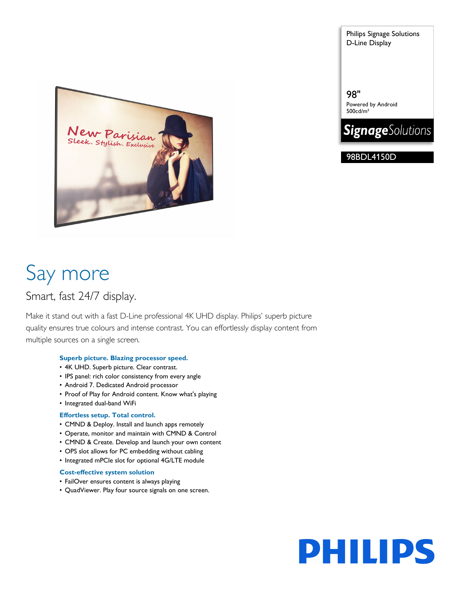Philips Signage Solutions D-Line Display

98" Powered by Android 500cd/m²



98BDL4150D



# Say more

# Smart, fast 24/7 display.

Make it stand out with a fast D-Line professional 4K UHD display. Philips' superb picture quality ensures true colours and intense contrast. You can effortlessly display content from multiple sources on a single screen.

### **Superb picture. Blazing processor speed.**

- 4K UHD. Superb picture. Clear contrast.
- IPS panel: rich color consistency from every angle
- Android 7. Dedicated Android processor
- Proof of Play for Android content. Know what's playing
- Integrated dual-band WiFi

### **Effortless setup. Total control.**

- CMND & Deploy. Install and launch apps remotely
- Operate, monitor and maintain with CMND & Control
- CMND & Create. Develop and launch your own content
- OPS slot allows for PC embedding without cabling
- Integrated mPCIe slot for optional 4G/LTE module

### **Cost-effective system solution**

- FailOver ensures content is always playing
- QuadViewer. Play four source signals on one screen.

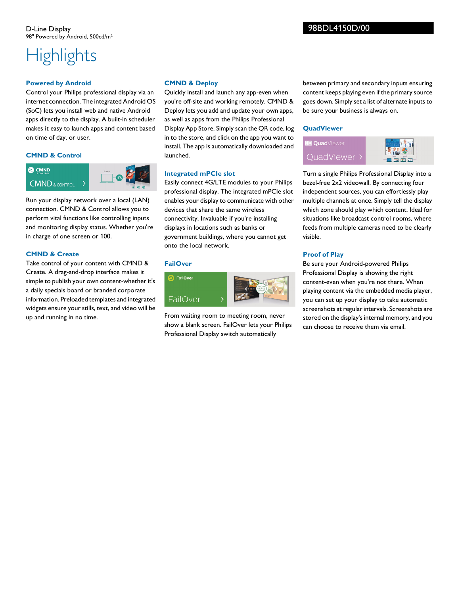# **Highlights**

#### **Powered by Android**

Control your Philips professional display via an internet connection. The integrated Android OS (SoC) lets you install web and native Android apps directly to the display. A built-in scheduler makes it easy to launch apps and content based on time of day, or user.

#### **CMND & Control**



Run your display network over a local (LAN) connection. CMND & Control allows you to perform vital functions like controlling inputs and monitoring display status. Whether you're in charge of one screen or 100.

#### **CMND & Create**

Take control of your content with CMND & Create. A drag-and-drop interface makes it simple to publish your own content-whether it's a daily specials board or branded corporate information. Preloaded templates and integrated widgets ensure your stills, text, and video will be up and running in no time.

#### **CMND & Deploy**

Quickly install and launch any app-even when you're off-site and working remotely. CMND & Deploy lets you add and update your own apps, as well as apps from the Philips Professional Display App Store. Simply scan the QR code, log in to the store, and click on the app you want to install. The app is automatically downloaded and launched.

### **Integrated mPCIe slot**

Easily connect 4G/LTE modules to your Philips professional display. The integrated mPCIe slot enables your display to communicate with other devices that share the same wireless connectivity. Invaluable if you're installing displays in locations such as banks or government buildings, where you cannot get onto the local network.

#### **FailOver**



From waiting room to meeting room, never show a blank screen. FailOver lets your Philips Professional Display switch automatically

between primary and secondary inputs ensuring content keeps playing even if the primary source goes down. Simply set a list of alternate inputs to be sure your business is always on.

## **QuadViewer R** QuadViewer

QuadViewer



Turn a single Philips Professional Display into a bezel-free 2x2 videowall. By connecting four independent sources, you can effortlessly play multiple channels at once. Simply tell the display which zone should play which content. Ideal for situations like broadcast control rooms, where feeds from multiple cameras need to be clearly visible.

#### **Proof of Play**

Be sure your Android-powered Philips Professional Display is showing the right content-even when you're not there. When playing content via the embedded media player, you can set up your display to take automatic screenshots at regular intervals. Screenshots are stored on the display's internal memory, and you can choose to receive them via email.